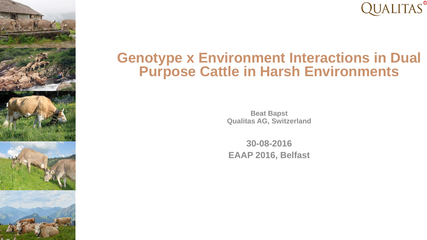

#### **Genotype x Environment Interactions in Dual Purpose Cattle in Harsh Environments**

**Beat Bapst Qualitas AG, Switzerland**

**30-08-2016 EAAP 2016, Belfast**



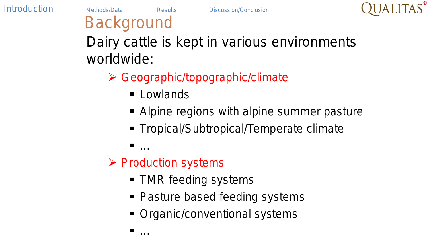

# **Background**

Dairy cattle is kept in various environments worldwide:

- Geographic/topographic/climate
	- **Lowlands**
	- Alpine regions with alpine summer pasture
	- **Tropical/Subtropical/Temperate climate**

— <sub>…</sub>

#### $\triangleright$  Production systems

- **TMR feeding systems**
- Pasture based feeding systems
- Organic/conventional systems

— <sub>…</sub>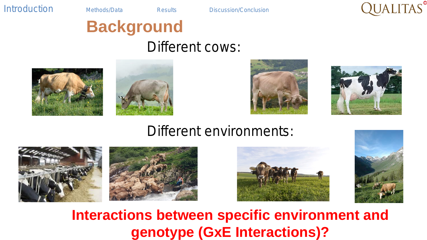

# **Background**

#### Different cows:









#### Different environments:







**Interactions between specific environment and genotype (GxE Interactions)?**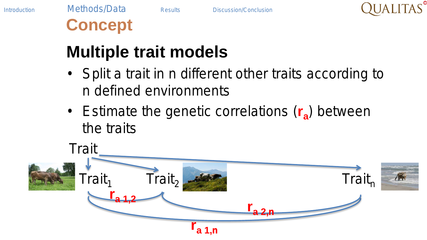

# **Concept**

## **Multiple trait models**

- Split a trait in *n* different other traits according to *n* defined environments
- Estimate the genetic correlations (r<sub>a</sub>) between the traits

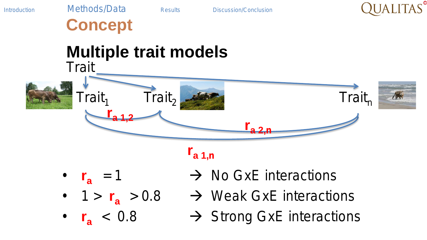

**Concept**

#### **Multiple trait models Trait**





 $\mathbf{r}_{a,1,n}$ 

- 
- 
- 
- $r_a = 1$   $\rightarrow$  No GxE interactions
- 1 >  $r_a > 0.8$   $\rightarrow$  Weak GxE interactions
	- $\mathbf{r}_{\mathbf{a}}$  < 0.8  $\rightarrow$  Strong GxE interactions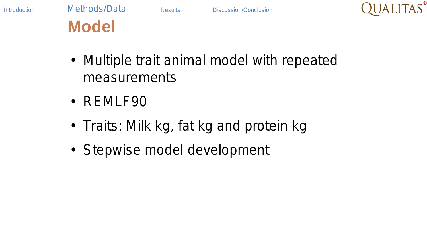



## **Model**

- Multiple trait animal model with repeated measurements
- REMLF90
- Traits: Milk kg, fat kg and protein kg
- Stepwise model development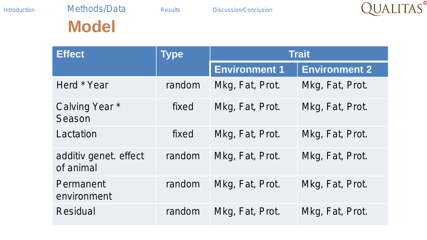

## **Model**

| <b>Effect</b>                      | <b>Type</b> | <b>Trait</b>         |                      |  |  |
|------------------------------------|-------------|----------------------|----------------------|--|--|
|                                    |             | <b>Environment 1</b> | <b>Environment 2</b> |  |  |
| Herd * Year                        | random      | Mkg, Fat, Prot.      | Mkg, Fat, Prot.      |  |  |
| Calving Year *<br>Season           | fixed       | Mkg, Fat, Prot.      | Mkg, Fat, Prot.      |  |  |
| Lactation                          | fixed       | Mkg, Fat, Prot.      | Mkg, Fat, Prot.      |  |  |
| additiv genet. effect<br>of animal | random      | Mkg, Fat, Prot.      | Mkg, Fat, Prot.      |  |  |
| Permanent<br>environment           | random      | Mkg, Fat, Prot.      | Mkg, Fat, Prot.      |  |  |
| Residual                           | random      | Mkg, Fat, Prot.      | Mkg, Fat, Prot.      |  |  |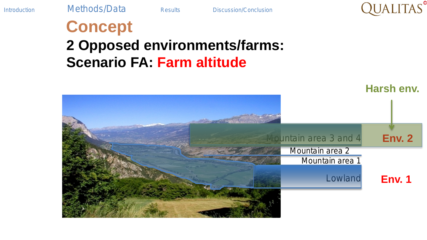

### **Concept 2 Opposed environments/farms: Scenario FA: Farm altitude**

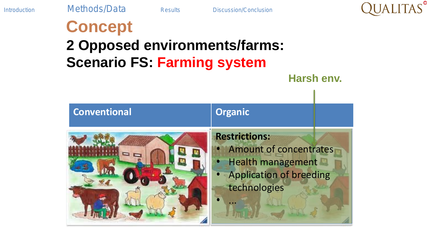

## **Concept 2 Opposed environments/farms: Scenario FS: Farming system Harsh env.**

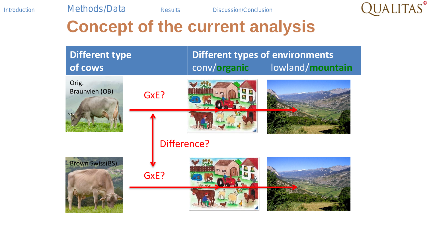

## **Concept of the current analysis**

| <b>Different type</b><br>of cows |      | conv/organic | <b>Different types of environments</b><br>lowland/mountain |
|----------------------------------|------|--------------|------------------------------------------------------------|
| Orig.<br><b>Braunvieh (OB)</b>   | GxE? |              |                                                            |
|                                  |      |              |                                                            |
|                                  |      | Difference?  |                                                            |
| <b>Brown Swiss(BS)</b>           | GxE? |              |                                                            |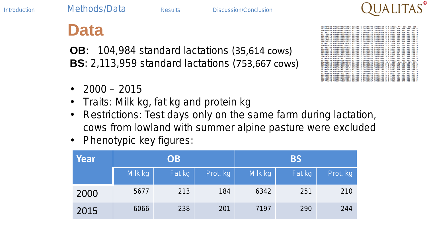

#### **Data**

**OB**: 104,984 standard lactations (35,614 cows) **BS**: 2,113,959 standard lactations (753,667 cows)

- $2000 2015$
- Traits: Milk kg, fat kg and protein kg
- Restrictions: Test days only on the same farm during lactation, cows from lowland with summer alpine pasture were excluded
- Phenotypic key figures:

| Year | <b>OB</b> |        |          | <b>BS</b> |        |          |  |
|------|-----------|--------|----------|-----------|--------|----------|--|
|      | Milk kg   | Fat kg | Prot. kg | Milk kg   | Fat kg | Prot. kg |  |
| 2000 | 5677      | 213    | 184      | 6342      | 251    | 210      |  |
| 2015 | 6066      | 238    | 201      | 7197      | 290    | 244      |  |

| CH120080286063        | 331100                                                    | 20100703                                  | 20150510                                                  |                                              |                   |                           |                                                                                                                                                                         |                                                                                                                                                                                                                        | 585                                    |                                                            |
|-----------------------|-----------------------------------------------------------|-------------------------------------------|-----------------------------------------------------------|----------------------------------------------|-------------------|---------------------------|-------------------------------------------------------------------------------------------------------------------------------------------------------------------------|------------------------------------------------------------------------------------------------------------------------------------------------------------------------------------------------------------------------|----------------------------------------|------------------------------------------------------------|
| CH120080285967        | 331100                                                    | 20100427                                  | 20150521                                                  | 1<br>з                                       | 8161              |                           |                                                                                                                                                                         | 385                                                                                                                                                                                                                    | 585.5                                  |                                                            |
| CH120095356454        | 331100                                                    | 20110919                                  | 20150522                                                  | ٦                                            | 9885              | 360                       |                                                                                                                                                                         | 385                                                                                                                                                                                                                    | 585.5                                  |                                                            |
| <b>CH120053767469</b> | 331100                                                    | 20070122                                  | 20150524                                                  | n                                            | 8249              |                           |                                                                                                                                                                         | 305                                                                                                                                                                                                                    | 565.5                                  |                                                            |
| CH120053760053        | 331100                                                    | 20071125                                  | 20150527                                                  | s,<br>ż                                      | 8161              | 382                       |                                                                                                                                                                         | 305                                                                                                                                                                                                                    | 5.05                                   | - 15                                                       |
| CH120000205592        | 331100                                                    | 20090927                                  | 20150013                                                  |                                              | 0.003             |                           |                                                                                                                                                                         | 305                                                                                                                                                                                                                    | 505 5                                  |                                                            |
| <b>CH120005356331</b> | 331100                                                    | 20110813                                  | 20150816                                                  | ٠<br>٠                                       | 6899              | 381                       |                                                                                                                                                                         | 3.05                                                                                                                                                                                                                   | 5.85                                   |                                                            |
| <b>CH120080285523</b> | 331100                                                    | 20090916                                  | 20150906                                                  |                                              | <b>7481</b>       | 319                       |                                                                                                                                                                         | 385                                                                                                                                                                                                                    | 585                                    |                                                            |
| CH120095356324        | 331100                                                    | 20110811                                  | 20150008                                                  | ١<br>,                                       | 6775              |                           |                                                                                                                                                                         | 385                                                                                                                                                                                                                    | 585                                    | ×,                                                         |
| CH120075639263        | 111100                                                    | 20090331                                  | 20150909                                                  |                                              | 7570              | 329                       |                                                                                                                                                                         | 105                                                                                                                                                                                                                    | 585                                    |                                                            |
| CH120005356652        | 331100                                                    | 20111123                                  | 20150910                                                  | ,<br>i                                       | 5834              |                           |                                                                                                                                                                         | 385                                                                                                                                                                                                                    | 585                                    | s                                                          |
| CH120053767292        | 331100                                                    | 20061114                                  | 20150915                                                  |                                              | 7560              |                           |                                                                                                                                                                         | 305                                                                                                                                                                                                                    | 5.85                                   |                                                            |
| CH120095356867        | 331100                                                    | 20120413                                  | 20150916                                                  | ١<br>2                                       | 5344              |                           |                                                                                                                                                                         | 385                                                                                                                                                                                                                    | 585                                    | 5                                                          |
| CH120080286629        | 331100                                                    | 20101215                                  | 20150916                                                  | ħ                                            | <b>7778</b>       |                           |                                                                                                                                                                         | 385                                                                                                                                                                                                                    | 585                                    | 5                                                          |
| CHIZAIA3ZIARIA        | 331100                                                    | 20130113                                  | 20150930                                                  |                                              | 6278              |                           |                                                                                                                                                                         | 305                                                                                                                                                                                                                    | 505.5                                  |                                                            |
| <b>CH120103710510</b> | 331100                                                    | 20120018                                  | 20151002                                                  | ٠<br>٠                                       | 6061              |                           |                                                                                                                                                                         | 3.0.5                                                                                                                                                                                                                  | SAS                                    | ٠                                                          |
| <b>CH120005356504</b> | 331100                                                    | 20111110                                  | 20151003                                                  |                                              | 9923              |                           |                                                                                                                                                                         | 305                                                                                                                                                                                                                    | ses s                                  |                                                            |
| <b>CH128183718548</b> | 331188                                                    | 28128926                                  | 28151885                                                  | ٠<br>٠                                       | <b>SRRS</b>       |                           |                                                                                                                                                                         | 385                                                                                                                                                                                                                    | 5.85                                   | ۰                                                          |
| CH120075638990        | 331100                                                    | 20090106                                  | 20151006                                                  |                                              | 8845              |                           |                                                                                                                                                                         | 305                                                                                                                                                                                                                    | 585.5                                  |                                                            |
| CH120028089916        | 331100                                                    | 20030317                                  | 28151889                                                  |                                              |                   |                           |                                                                                                                                                                         |                                                                                                                                                                                                                        |                                        |                                                            |
| CH120095356645        | 331100                                                    | 20111207                                  | 20151017                                                  |                                              | 6391              |                           |                                                                                                                                                                         | 305                                                                                                                                                                                                                    | <b>SRS 5</b>                           |                                                            |
|                       |                                                           |                                           |                                                           |                                              |                   |                           |                                                                                                                                                                         |                                                                                                                                                                                                                        |                                        | ×                                                          |
| CH120103718526        | 331100                                                    | 20120923                                  | 20151029                                                  |                                              | 5983              |                           |                                                                                                                                                                         | 395                                                                                                                                                                                                                    |                                        |                                                            |
|                       |                                                           |                                           |                                                           | ı                                            |                   |                           |                                                                                                                                                                         |                                                                                                                                                                                                                        |                                        | - 5                                                        |
| <b>CH120000205295</b> | 331100                                                    | 20090419                                  |                                                           |                                              | 8646              |                           |                                                                                                                                                                         |                                                                                                                                                                                                                        |                                        | 5                                                          |
| <b>CHI20103710472</b> | 331100                                                    | 20120020                                  | 20151100                                                  | ۹<br>,                                       | 6233              |                           |                                                                                                                                                                         | 30%                                                                                                                                                                                                                    | 5.05                                   | ×.                                                         |
| <b>CH120080286460</b> | 331100                                                    | 20101120                                  | 20151108                                                  | ٠<br>٠                                       | 7030              | 371                       |                                                                                                                                                                         | 305                                                                                                                                                                                                                    | 5.85                                   | ×.                                                         |
| CH120053760022        | 331100                                                    | 20071114                                  | 20151115                                                  |                                              | 7130              |                           |                                                                                                                                                                         | 305                                                                                                                                                                                                                    |                                        | $\sim$                                                     |
| CH120075639164        | 331100                                                    | 20090317                                  | 20151123                                                  | ۰<br>٠                                       | 8348              |                           |                                                                                                                                                                         | 385                                                                                                                                                                                                                    | 585                                    | s                                                          |
|                       |                                                           |                                           |                                                           | 2                                            |                   |                           |                                                                                                                                                                         |                                                                                                                                                                                                                        |                                        | ×.                                                         |
|                       | <b>CH120103718564</b><br>CH120103718533<br>CH120095356812 | ٠<br>٠<br>331100<br>331100<br>٠<br>331100 | 1<br>ı<br>٠<br>20120927<br>٠<br>20120925<br>1<br>20120214 | 20151019<br>20151103<br>20151103<br>20151126 | 18<br>٠<br>٠<br>٤ | ٠<br>6768<br>5667<br>7812 | 10331<br>326<br>330<br>403<br>283<br>223<br>332<br>286<br>273<br>フルル<br>398<br>351<br>265<br>323<br>9227<br>242<br>273<br>229<br>246<br>335<br>ファハ<br>294<br>412<br>20B | 444<br>285<br>331<br>300<br>326<br>323<br>241<br>277<br><b>258</b><br>277<br>229<br>298<br>284<br>2.88<br>つちつ<br>273<br>297<br>189<br>312<br>418<br>229<br>265<br>218<br>219<br>304<br>230<br>384<br>273<br>382<br>278 | 391<br>334<br>385<br>385<br>385<br>305 | 305<br>385 585<br>585<br>5.85<br>585<br>585<br>5.05<br>585 |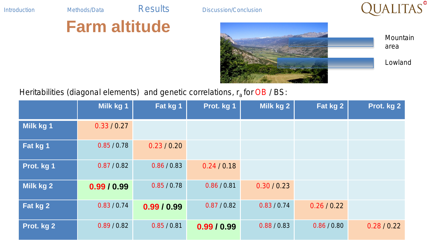## **Farm altitude**

Introduction Methods/Data Results Discussion/Conclusion





#### Heritabilities (diagonal elements) and genetic correlations, r<sub>a</sub> for OB / BS:

|            | Milk kg 1   | Fat kg 1    | Prot. kg 1  | Milk kg 2   | Fat kg 2    | Prot. kg 2  |
|------------|-------------|-------------|-------------|-------------|-------------|-------------|
| Milk kg 1  | 0.33 / 0.27 |             |             |             |             |             |
| Fat kg 1   | 0.85 / 0.78 | 0.23 / 0.20 |             |             |             |             |
| Prot. kg 1 | 0.87 / 0.82 | 0.86 / 0.83 | 0.24 / 0.18 |             |             |             |
| Milk kg 2  | 0.99/0.99   | 0.85 / 0.78 | 0.86 / 0.81 | 0.30 / 0.23 |             |             |
| Fat kg 2   | 0.83 / 0.74 | 0.99/0.99   | 0.87 / 0.82 | 0.83 / 0.74 | 0.26 / 0.22 |             |
| Prot. kg 2 | 0.89 / 0.82 | 0.85 / 0.81 | 0.99/0.99   | 0.88 / 0.83 | 0.86 / 0.80 | 0.28 / 0.22 |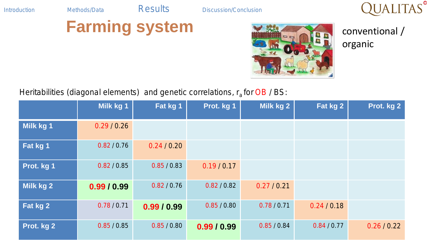

## **Farming system**



conventional / organic

#### Heritabilities (diagonal elements) and genetic correlations, r<sub>a</sub> for OB / BS:

|            | Milk kg 1   | Fat kg 1    | Prot. kg 1  | Milk kg 2   | Fat kg 2    | Prot. kg 2  |
|------------|-------------|-------------|-------------|-------------|-------------|-------------|
| Milk kg 1  | 0.29 / 0.26 |             |             |             |             |             |
| Fat kg 1   | 0.82 / 0.76 | 0.24 / 0.20 |             |             |             |             |
| Prot. kg 1 | 0.82 / 0.85 | 0.85 / 0.83 | 0.19/0.17   |             |             |             |
| Milk kg 2  | 0.99/0.99   | 0.82 / 0.76 | 0.82 / 0.82 | 0.27 / 0.21 |             |             |
| Fat kg 2   | 0.78/0.71   | 0.99/0.99   | 0.85 / 0.80 | 0.78/0.71   | 0.24 / 0.18 |             |
| Prot. kg 2 | 0.85 / 0.85 | 0.85 / 0.80 | 0.99/0.99   | 0.85 / 0.84 | 0.84 / 0.77 | 0.26 / 0.22 |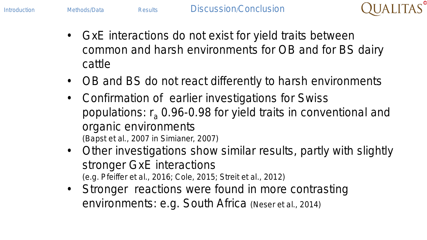

- GxE interactions do not exist for yield traits between common and harsh environments for OB and for BS dairy cattle
- OB and BS do not react differently to harsh environments
- Confirmation of earlier investigations for Swiss populations:  $r_a$  0.96-0.98 for yield traits in conventional and organic environments (Bapst et al., 2007 in Simianer, 2007)
- Other investigations show similar results, partly with slightly stronger GxE interactions (e.g. Pfeiffer et al., 2016; Cole, 2015; Streit et al., 2012)
- Stronger reactions were found in more contrasting environments: e.g. South Africa (Neser et al., 2014)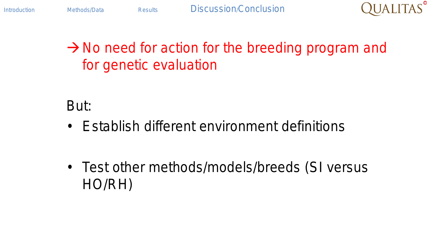

### $\rightarrow$  No need for action for the breeding program and for genetic evaluation

But:

• Establish different environment definitions

• Test other methods/models/breeds (SI versus HO/RH)